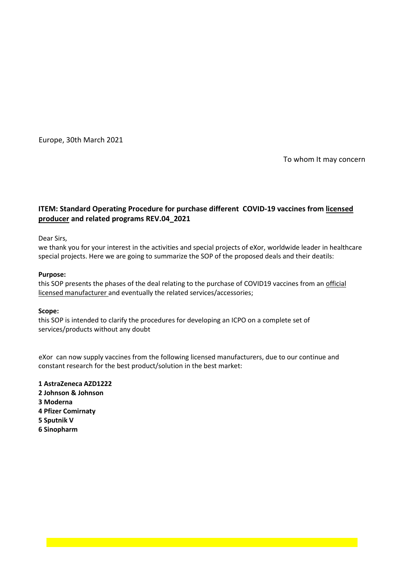Europe, 30th March 2021

To whom It may concern

# **ITEM: Standard Operating Procedure for purchase different COVID-19 vaccines from licensed producer and related programs REV.04\_2021**

Dear Sirs,

we thank you for your interest in the activities and special projects of eXor, worldwide leader in healthcare special projects. Here we are going to summarize the SOP of the proposed deals and their deatils:

## **Purpose:**

this SOP presents the phases of the deal relating to the purchase of COVID19 vaccines from an official licensed manufacturer and eventually the related services/accessories;

## **Scope:**

this SOP is intended to clarify the procedures for developing an ICPO on a complete set of services/products without any doubt

constant research for the best product/solution in the best market: eXor can now supply vaccines from the following licensed manufacturers, due to our continue and

**1 AstraZeneca AZD1222 2 Johnson & Johnson 3 Moderna 4 Pfizer Comirnaty 5 Sputnik V 6 Sinopharm**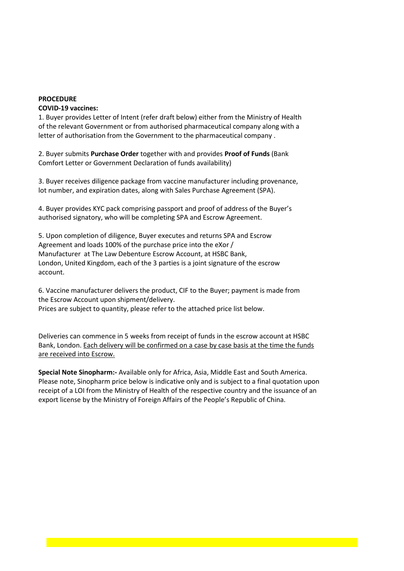## **PROCEDURE**

### **COVID-19 vaccines:**

1. Buyer provides Letter of Intent (refer draft below) either from the Ministry of Health of the relevant Government or from authorised pharmaceutical company along with a letter of authorisation from the Government to the pharmaceutical company .

2. Buyer submits **Purchase Order** together with and provides **Proof of Funds** (Bank Comfort Letter or Government Declaration of funds availability)

3. Buyer receives diligence package from vaccine manufacturer including provenance, lot number, and expiration dates, along with Sales Purchase Agreement (SPA).

4. Buyer provides KYC pack comprising passport and proof of address of the Buyer's authorised signatory, who will be completing SPA and Escrow Agreement.

5. Upon completion of diligence, Buyer executes and returns SPA and Escrow Agreement and loads 100% of the purchase price into the eXor / Manufacturer at The Law Debenture Escrow Account, at HSBC Bank, London, United Kingdom, each of the 3 parties is a joint signature of the escrow account.

6. Vaccine manufacturer delivers the product, CIF to the Buyer; payment is made from the Escrow Account upon shipment/delivery. Prices are subject to quantity, please refer to the attached price list below.

Deliveries can commence in 5 weeks from receipt of funds in the escrow account at HSBC

Bank, London. Each delivery will be confirmed on a case by case basis at the time the funds are received into Escrow.

**Special Note Sinopharm:-** Available only for Africa, Asia, Middle East and South America. Please note, Sinopharm price below is indicative only and is subject to a final quotation upon receipt of a LOI from the Ministry of Health of the respective country and the issuance of an export license by the Ministry of Foreign Affairs of the People's Republic of China.